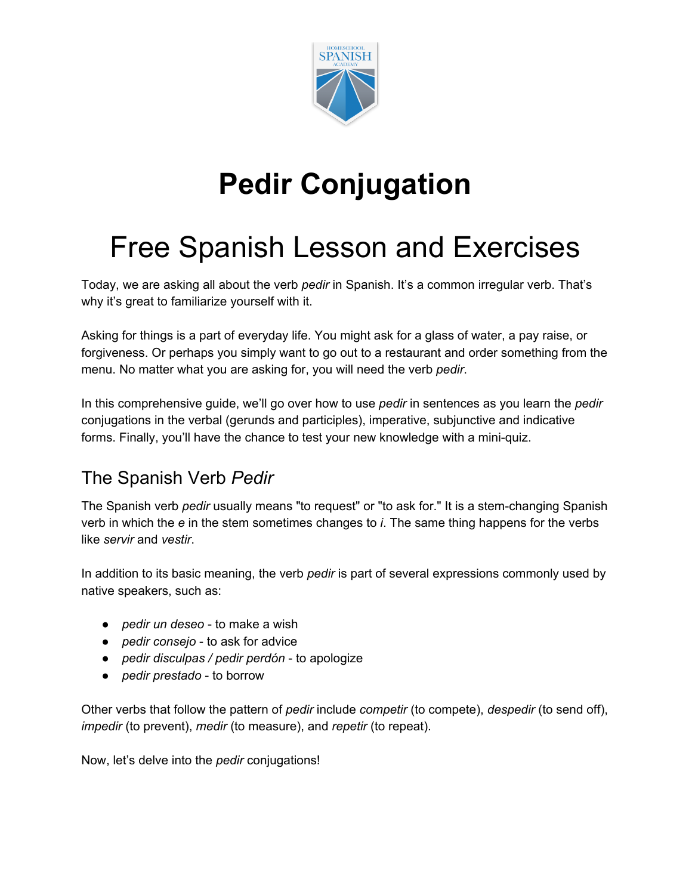

# **Pedir Conjugation**

## Free Spanish Lesson and Exercises

Today, we are asking all about the verb *pedir* in Spanish. It's a common irregular verb. That's why it's great to familiarize yourself with it.

Asking for things is a part of everyday life. You might ask for a glass of water, a pay raise, or forgiveness. Or perhaps you simply want to go out to a restaurant and order something from the menu. No matter what you are asking for, you will need the verb *pedir*.

In this comprehensive guide, we'll go over how to use *pedir* in sentences as you learn the *pedir* conjugations in the verbal (gerunds and participles), imperative, subjunctive and indicative forms. Finally, you'll have the chance to test your new knowledge with a mini-quiz.

## The Spanish Verb *Pedir*

The Spanish verb *pedir* usually means "to request" or "to ask for." It is a stem-changing Spanish verb in which the *e* in the stem sometimes changes to *i*. The same thing happens for the verbs like *servir* and *vestir*.

In addition to its basic meaning, the verb *pedir* is part of several expressions commonly used by native speakers, such as:

- *pedir un deseo* to make a wish
- *pedir consejo* to ask for advice
- *pedir disculpas / pedir perdón* to apologize
- *pedir prestado* to borrow

Other verbs that follow the pattern of *pedir* include *competir* (to compete), *despedir* (to send off), *impedir* (to prevent), *medir* (to measure), and *repetir* (to repeat).

Now, let's delve into the *pedir* conjugations!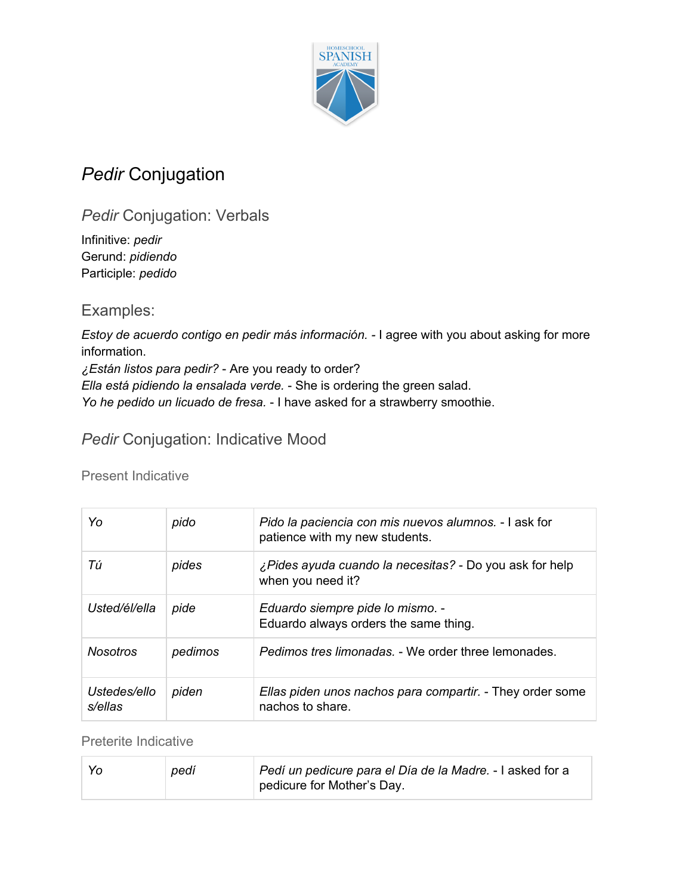

## *Pedir* Conjugation

*Pedir* Conjugation: Verbals

Infinitive: *pedir* Gerund: *pidiendo* Participle: *pedido*

Examples:

*Estoy de acuerdo contigo en pedir más información. -* I agree with you about asking for more information. *¿Están listos para pedir?* - Are you ready to order? *Ella está pidiendo la ensalada verde.* - She is ordering the green salad.

*Yo he pedido un licuado de fresa.* - I have asked for a strawberry smoothie.

**Pedir Conjugation: Indicative Mood** 

Present Indicative

| Yo                      | pido    | Pido la paciencia con mis nuevos alumnos. - I ask for<br>patience with my new students. |
|-------------------------|---------|-----------------------------------------------------------------------------------------|
| Тú                      | pides   | ¿Pides ayuda cuando la necesitas? - Do you ask for help<br>when you need it?            |
| Usted/él/ella           | pide    | Eduardo siempre pide lo mismo. -<br>Eduardo always orders the same thing.               |
| <b>Nosotros</b>         | pedimos | Pedimos tres limonadas. - We order three lemonades.                                     |
| Ustedes/ello<br>s/ellas | piden   | Ellas piden unos nachos para compartir. - They order some<br>nachos to share.           |

Preterite Indicative

| Yo | pedí | Pedí un pedicure para el Día de la Madre. - I asked for a |
|----|------|-----------------------------------------------------------|
|    |      | pedicure for Mother's Day.                                |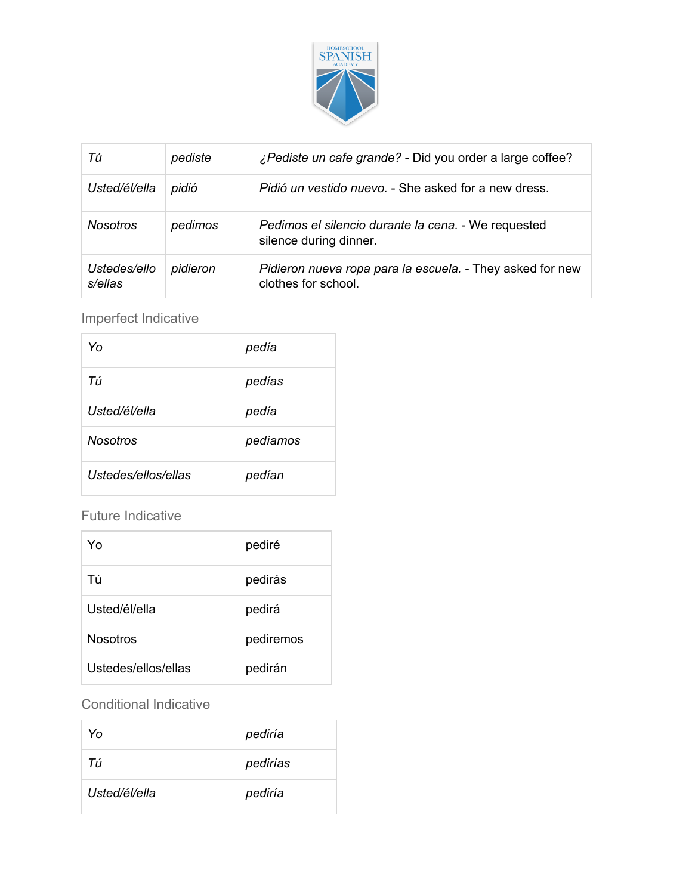

| Тú                      | pediste  | ¿Pediste un cafe grande? - Did you order a large coffee?                         |
|-------------------------|----------|----------------------------------------------------------------------------------|
| Usted/él/ella           | pidió    | <i>Pidió un vestido nuevo. - She asked for a new dress.</i>                      |
| <b>Nosotros</b>         | pedimos  | Pedimos el silencio durante la cena. - We requested<br>silence during dinner.    |
| Ustedes/ello<br>s/ellas | pidieron | Pidieron nueva ropa para la escuela. - They asked for new<br>clothes for school. |

Imperfect Indicative

| Yο                  | pedía    |
|---------------------|----------|
| Тú                  | pedías   |
| Usted/él/ella       | pedía    |
| Nosotros            | pedíamos |
| Ustedes/ellos/ellas | pedían   |

#### Future Indicative

| Y٥                  | pediré    |
|---------------------|-----------|
| Τú                  | pedirás   |
| Usted/él/ella       | pedirá    |
| <b>Nosotros</b>     | pediremos |
| Ustedes/ellos/ellas | pedirán   |

#### Conditional Indicative

| Yo            | pediría  |
|---------------|----------|
| Тú            | pedirías |
| Usted/él/ella | pediría  |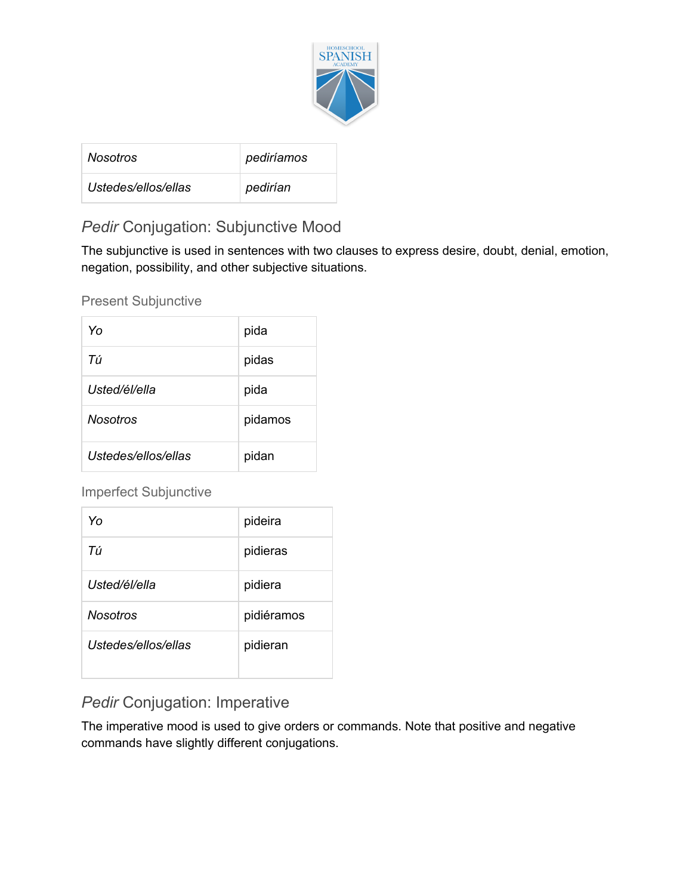

| <i>Nosotros</i>     | pediríamos |
|---------------------|------------|
| Ustedes/ellos/ellas | pedirían   |

### *Pedir* Conjugation: Subjunctive Mood

The subjunctive is used in sentences with two clauses to express desire, doubt, denial, emotion, negation, possibility, and other subjective situations.

Present Subjunctive

| Yo                  | pida    |
|---------------------|---------|
| Тú                  | pidas   |
| Usted/él/ella       | pida    |
| <b>Nosotros</b>     | pidamos |
| Ustedes/ellos/ellas | pidan   |

Imperfect Subjunctive

| Yo                  | pideira    |
|---------------------|------------|
| Тú                  | pidieras   |
| Usted/él/ella       | pidiera    |
| <b>Nosotros</b>     | pidiéramos |
| Ustedes/ellos/ellas | pidieran   |

### *Pedir* Conjugation: Imperative

The imperative mood is used to give orders or commands. Note that positive and negative commands have slightly different conjugations.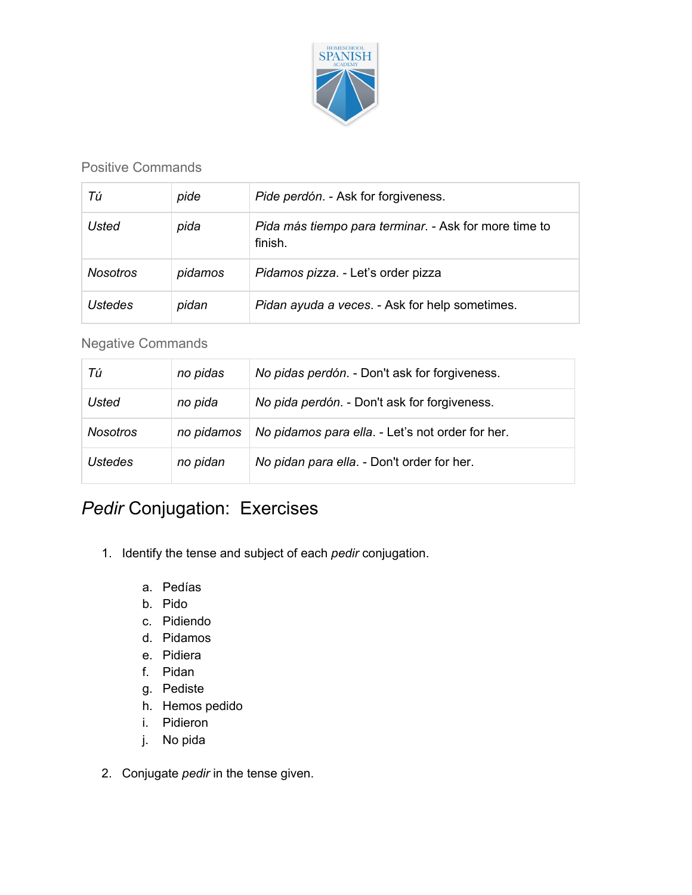

#### Positive Commands

| Тú              | pide    | Pide perdón. - Ask for forgiveness.                              |
|-----------------|---------|------------------------------------------------------------------|
| Usted           | pida    | Pida más tiempo para terminar. - Ask for more time to<br>finish. |
| <b>Nosotros</b> | pidamos | Pidamos pizza. - Let's order pizza                               |
| Ustedes         | pidan   | Pidan ayuda a veces. - Ask for help sometimes.                   |

#### Negative Commands

| Тú              | no pidas   | No pidas perdón. - Don't ask for forgiveness.    |
|-----------------|------------|--------------------------------------------------|
| <b>Usted</b>    | no pida    | No pida perdón. - Don't ask for forgiveness.     |
| <b>Nosotros</b> | no pidamos | No pidamos para ella. - Let's not order for her. |
| <b>Ustedes</b>  | no pidan   | No pidan para ella. - Don't order for her.       |

## *Pedir* Conjugation: Exercises

- 1. Identify the tense and subject of each *pedir* conjugation.
	- a. Pedías
	- b. Pido
	- c. Pidiendo
	- d. Pidamos
	- e. Pidiera
	- f. Pidan
	- g. Pediste
	- h. Hemos pedido
	- i. Pidieron
	- j. No pida
- 2. Conjugate *pedir* in the tense given.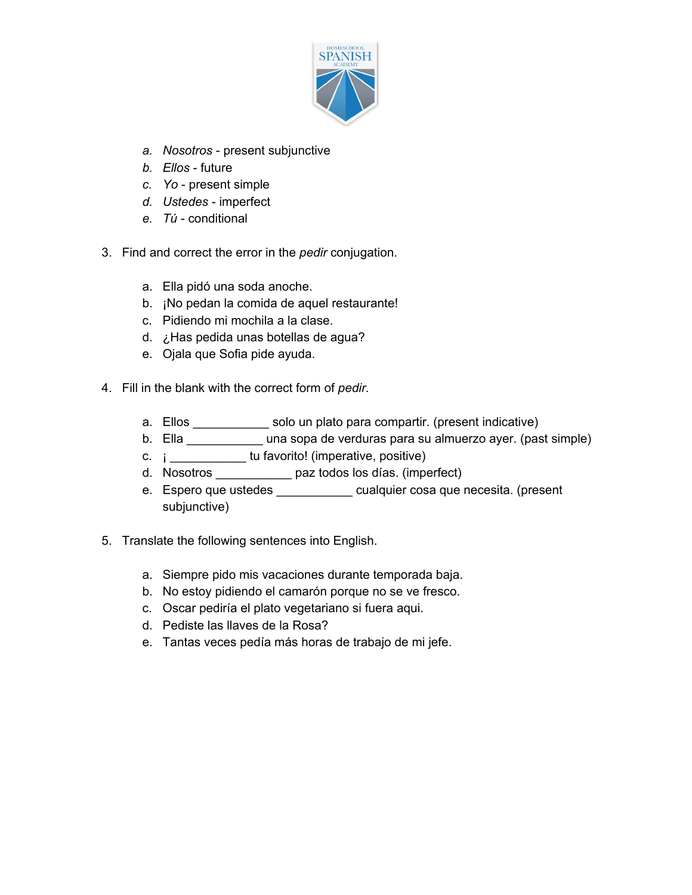

- *a. Nosotros* present subjunctive
- *b. Ellos* future
- *c. Yo* present simple
- *d. Ustedes* imperfect
- *e. Tú* conditional
- 3. Find and correct the error in the *pedir* conjugation.
	- a. Ella pidó una soda anoche.
	- b. ¡No pedan la comida de aquel restaurante!
	- c. Pidiendo mi mochila a la clase.
	- d. ¿Has pedida unas botellas de agua?
	- e. Ojala que Sofia pide ayuda.
- 4. Fill in the blank with the correct form of *pedir*.
	- a. Ellos \_\_\_\_\_\_\_\_\_\_\_\_ solo un plato para compartir. (present indicative)
	- b. Ella \_\_\_\_\_\_\_\_\_\_\_ una sopa de verduras para su almuerzo ayer. (past simple)
	- c. ¡ \_\_\_\_\_\_\_\_\_\_\_ tu favorito! (imperative, positive)
	- d. Nosotros \_\_\_\_\_\_\_\_\_\_\_ paz todos los días. (imperfect)
	- e. Espero que ustedes \_\_\_\_\_\_\_\_\_\_\_\_ cualquier cosa que necesita. (present subjunctive)
- 5. Translate the following sentences into English.
	- a. Siempre pido mis vacaciones durante temporada baja.
	- b. No estoy pidiendo el camarón porque no se ve fresco.
	- c. Oscar pediría el plato vegetariano si fuera aqui.
	- d. Pediste las llaves de la Rosa?
	- e. Tantas veces pedía más horas de trabajo de mi jefe.